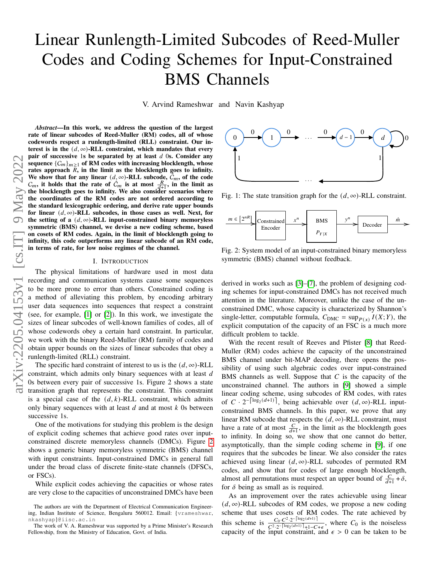# Linear Runlength-Limited Subcodes of Reed-Muller Codes and Coding Schemes for Input-Constrained BMS Channels

V. Arvind Rameshwar and Navin Kashyap

*Abstract*—In this work, we address the question of the largest rate of linear subcodes of Reed-Muller (RM) codes, all of whose codewords respect a runlength-limited (RLL) constraint. Our interest is in the  $(d, \infty)$ -RLL constraint, which mandates that every pair of successive 1s be separated by at least  $d$  0s. Consider any sequence  ${C_m}_{m \geq 1}$  of RM codes with increasing blocklength, whose rates approach  $R$ , in the limit as the blocklength goes to infinity. We show that for any linear  $(d, \infty)$ -RLL subcode,  $\hat{C}_m$ , of the code  $C_m$ , it holds that the rate of  $\hat{C}_m$  is at most  $\frac{R}{d+1}$ , in the limit as the blocklength goes to infinity. We also consider scenarios where the coordinates of the RM codes are not ordered according to the standard lexicographic ordering, and derive rate upper bounds for linear  $(d, \infty)$ -RLL subcodes, in those cases as well. Next, for the setting of a  $(d, \infty)$ -RLL input-constrained binary memoryless symmetric (BMS) channel, we devise a new coding scheme, based on cosets of RM codes. Again, in the limit of blocklength going to infinity, this code outperforms any linear subcode of an RM code, in terms of rate, for low noise regimes of the channel.

#### I. INTRODUCTION

The physical limitations of hardware used in most data recording and communication systems cause some sequences to be more prone to error than others. Constrained coding is a method of alleviating this problem, by encoding arbitrary user data sequences into sequences that respect a constraint (see, for example, [\[1\]](#page-9-0) or [\[2\]](#page-9-1)). In this work, we investigate the sizes of linear subcodes of well-known families of codes, all of whose codewords obey a certain hard constraint. In particular, we work with the binary Reed-Muller (RM) family of codes and obtain upper bounds on the sizes of linear subcodes that obey a runlength-limited (RLL) constraint.

The specific hard constraint of interest to us is the  $(d, \infty)$ -RLL constraint, which admits only binary sequences with at least d 0s between every pair of successive 1s. Figure 2 shows a state transition graph that represents the constraint. This constraint is a special case of the  $(d, k)$ -RLL constraint, which admits only binary sequences with at least  $d$  and at most  $k$  0s between successive 1s.

One of the motivations for studying this problem is the design of explicit coding schemes that achieve good rates over inputconstrained discrete memoryless channels (DMCs). Figure [2](#page-0-0) shows a generic binary memoryless symmetric (BMS) channel with input constraints. Input-constrained DMCs in general fall under the broad class of discrete finite-state channels (DFSCs, or FSCs).

While explicit codes achieving the capacities or whose rates are very close to the capacities of unconstrained DMCs have been



Fig. 1: The state transition graph for the  $(d, \infty)$ -RLL constraint.

<span id="page-0-0"></span>

Fig. 2: System model of an input-constrained binary memoryless symmetric (BMS) channel without feedback.

derived in works such as [\[3\]](#page-9-2)–[\[7\]](#page-9-3), the problem of designing coding schemes for input-constrained DMCs has not received much attention in the literature. Moreover, unlike the case of the unconstrained DMC, whose capacity is characterized by Shannon's single-letter, computable formula,  $C_{\text{DMC}} = \sup_{P(x)} I(X;Y)$ , the explicit computation of the capacity of an FSC is a much more difficult problem to tackle.

With the recent result of Reeves and Pfister [\[8\]](#page-9-4) that Reed-Muller (RM) codes achieve the capacity of the unconstrained BMS channel under bit-MAP decoding, there opens the possibility of using such algebraic codes over input-constrained BMS channels as well. Suppose that  $C$  is the capacity of the unconstrained channel. The authors in [\[9\]](#page-9-5) showed a simple linear coding scheme, using subcodes of RM codes, with rates of  $C \cdot 2^{-\lceil \log_2(d+1) \rceil}$ , being achievable over  $(d, \infty)$ -RLL inputconstrained BMS channels. In this paper, we prove that any linear RM subcode that respects the  $(d, \infty)$ -RLL constraint, must have a rate of at most  $\frac{C}{d+1}$ , in the limit as the blocklength goes to infinity. In doing so, we show that one cannot do better, asymptotically, than the simple coding scheme in [\[9\]](#page-9-5), if one requires that the subcodes be linear. We also consider the rates achieved using linear  $(d, \infty)$ -RLL subcodes of permuted RM codes, and show that for codes of large enough blocklength, almost all permutations must respect an upper bound of  $\frac{C}{d+1} + \delta$ , for  $\delta$  being as small as is required.

As an improvement over the rates achievable using linear  $(d, \infty)$ -RLL subcodes of RM codes, we propose a new coding scheme that uses cosets of RM codes. The rate achieved by this scheme is  $\frac{C_0 \cdot C^2 \cdot 2^{-\left[\log_2(d+1)\right]}}{C_0^2 \cdot 2^{-\left[\log_2(d+1)\right] \cdot 1 \cdot C_0}}$  $\frac{C_0 C^2 \cdot 2^{-|\log_2(d+1)|}}{C^2 \cdot 2^{-|\log_2(d+1)|} + 1 - C + \epsilon}$ , where  $C_0$  is the noiseless capacity of the input constraint, and  $\epsilon > 0$  can be taken to be

The authors are with the Department of Electrical Communication Engineering, Indian Institute of Science, Bengaluru 560012. Email: {vrameshwar, nkashyap}@iisc.ac.in

The work of V. A. Rameshwar was supported by a Prime Minister's Research Fellowship, from the Ministry of Education, Govt. of India.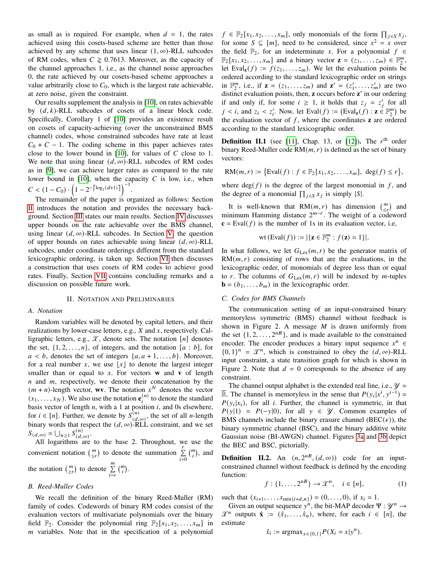as small as is required. For example, when  $d = 1$ , the rates achieved using this cosets-based scheme are better than those achieved by any scheme that uses linear  $(1, \infty)$ -RLL subcodes of RM codes, when  $C \ge 0.7613$ . Moreover, as the capacity of the channel approaches 1, i.e., as the channel noise approaches 0, the rate achieved by our cosets-based scheme approaches a value arbitrarily close to  $C_0$ , which is the largest rate achievable, at zero noise, given the constraint.

Our results supplement the analysis in [\[10\]](#page-9-6), on rates achievable by  $(d, k)$ -RLL subcodes of cosets of a linear block code. Specifically, Corollary 1 of [\[10\]](#page-9-6) provides an existence result on cosets of capacity-achieving (over the unconstrained BMS channel) codes, whose constrained subcodes have rate at least  $C_0 + C - 1$ . The coding scheme in this paper achieves rates close to the lower bound in  $[10]$ , for values of C close to 1. We note that using linear  $(d, \infty)$ -RLL subcodes of RM codes as in [\[9\]](#page-9-5), we can achieve larger rates as compared to the rate lower bound in  $[10]$ , when the capacity  $C$  is low, i.e., when  $C < (1 - C_0) \cdot \left(1 - 2^{-\left\lceil \log_2(d+1) \right\rceil} \right)^{-1}.$ 

The remainder of the paper is organized as follows: Section [II](#page-1-0) introduces the notation and provides the necessary background. Section [III](#page-2-0) states our main results. Section [IV](#page-3-0) discusses upper bounds on the rate achievable over the BMS channel, using linear  $(d, \infty)$ -RLL subcodes. In Section [V,](#page-5-0) the question of upper bounds on rates achievable using linear  $(d, \infty)$ -RLL subcodes, under coordinate orderings different from the standard lexicographic ordering, is taken up. Section [VI](#page-7-0) then discusses a construction that uses cosets of RM codes to achieve good rates. Finally, Section [VII](#page-9-7) contains concluding remarks and a discussion on possible future work.

#### II. NOTATION AND PRELIMINARIES

#### <span id="page-1-0"></span>*A. Notation*

Random variables will be denoted by capital letters, and their realizations by lower-case letters, e.g.,  $X$  and  $x$ , respectively. Calligraphic letters, e.g.,  $\mathcal{X}$ , denote sets. The notation [n] denotes the set,  $\{1, 2, \ldots, n\}$ , of integers, and the notation [a : b], for  $a < b$ , denotes the set of integers  $\{a, a+1, \ldots, b\}$ . Moreover, for a real number x, we use  $\lfloor x \rfloor$  to denote the largest integer smaller than or equal to x. For vectors  $w$  and  $v$  of length  $n$  and  $m$ , respectively, we denote their concatenation by the  $(m + n)$ -length vector, **wv**. The notation  $x^N$  denotes the vector  $(x_1, \ldots, x_N)$ . We also use the notation  $e_i^{(n)}$  to denote the standard basis vector of length  $n$ , with a 1 at position  $i$ , and 0s elsewhere, for  $i \in [n]$ . Further, we denote by  $S_{(d,\infty)}^{(n)}$ , the set of all *n*-length binary words that respect the  $(d, \infty)$ -RLL constraint, and we set  $S_{(d,\infty)} = \bigcup_{n \geq 1} S_{(d,\infty)}^{(n)}$ .

All logarithms are to the base 2. Throughout, we use the convenient notation  $\begin{pmatrix} m \\ \leq r \end{pmatrix}$  to denote the summation  $\sum_{i=0}^{r}$  $\binom{m}{i}$ , and the notation  $\binom{m}{\geq r}$  to denote  $\sum_{i=r}^{m}$  $\binom{m}{i}$ .

#### <span id="page-1-1"></span>*B. Reed-Muller Codes*

We recall the definition of the binary Reed-Muller (RM) family of codes. Codewords of binary RM codes consist of the evaluation vectors of multivariate polynomials over the binary field  $\mathbb{F}_2$ . Consider the polynomial ring  $\mathbb{F}_2[x_1, x_2, \ldots, x_m]$  in  *variables. Note that in the specification of a polynomial* 

 $f \in \mathbb{F}_2[x_1, x_2, \dots, x_m]$ , only monomials of the form  $\prod_{j \in S} x_j$ , for some  $S \subseteq [m]$ , need to be considered, since  $x^2 = x$  over the field  $\mathbb{F}_2$ , for an indeterminate x. For a polynomial  $f \in$  $\mathbb{F}_2[x_1, x_2, \ldots, x_m]$  and a binary vector  $\mathbf{z} = (z_1, \ldots, z_m) \in \mathbb{F}_2^m$  $\frac{m}{2}$ let Eval<sub>z</sub> $(f) := f(z_1, \ldots, z_m)$ . We let the evaluation points be ordered according to the standard lexicographic order on strings in  $\mathbb{F}_2^m$  $Z_2^m$ , i.e., if  $z = (z_1, ..., z_m)$  and  $z' = (z'_1, ..., z'_m)$  are two distinct evaluation points, then, **z** occurs before **z**' in our ordering if and only if, for some  $i \ge 1$ , it holds that  $z_j = z'_j$  for all  $j < i$ , and  $z_i < z'_i$ . Now, let Eval(f) :=  $(\text{Eval}_{\mathbf{z}}(f) : \mathbf{z} \in \mathbb{F}_2^m)$  $\binom{m}{2}$  be the evaluation vector of  $f$ , where the coordinates  $\bf{z}$  are ordered according to the standard lexicographic order.

**Definition II.1** (see [\[11\]](#page-9-8), Chap. 13, or [\[12\]](#page-9-9)). The  $r<sup>th</sup>$  order binary Reed-Muller code  $RM(m, r)$  is defined as the set of binary vectors:

$$
RM(m,r) := \{Eval(f) : f \in \mathbb{F}_2[x_1, x_2, \dots, x_m], deg(f) \le r \},
$$

where  $deg(f)$  is the degree of the largest monomial in f, and the degree of a monomial  $\prod_{j \in S} x_j$  is simply |S|.

It is well-known that RM $(m, r)$  has dimension  $\binom{m}{\leq r}$  and minimum Hamming distance  $2^{m-r}$ . The weight of a codeword  **is the number of 1s in its evaluation vector, i.e,** 

$$
\text{wt}(\text{Eval}(f)) := |\{\mathbf{z} \in \mathbb{F}_2^m : f(\mathbf{z}) = 1\}|.
$$

In what follows, we let  $G_{Lex}(m, r)$  be the generator matrix of  $RM(m, r)$  consisting of rows that are the evaluations, in the lexicographic order, of monomials of degree less than or equal to r. The columns of  $G_{\text{Lex}}(m, r)$  will be indexed by *m*-tuples  **in the lexicographic order.** 

# *C. Codes for BMS Channels*

The communication setting of an input-constrained binary memoryless symmetric (BMS) channel without feedback is shown in Figure 2. A message  $M$  is drawn uniformly from the set  $\{1, 2, \ldots, 2^{nR}\}$ , and is made available to the constrained encoder. The encoder produces a binary input sequence  $x^n \in$  ${0, 1}^n = \mathcal{X}^n$ , which is constrained to obey the  $(d, \infty)$ -RLL input constraint, a state transition graph for which is shown in Figure 2. Note that  $d = 0$  corresponds to the absence of any constraint.

The channel output alphabet is the extended real line, i.e.,  $\mathcal{Y} =$ **R**. The channel is memoryless in the sense that  $P(y_i|x^i, y^{i-1}) =$  $P(y_i|x_i)$ , for all *i*. Further, the channel is symmetric, in that  $P(y|1) = P(-y|0)$ , for all  $y \in \mathcal{Y}$ . Common examples of BMS channels include the binary erasure channel (BEC( $\epsilon$ )), the binary symmetric channel (BSC), and the binary additive white Gaussian noise (BI-AWGN) channel. Figures [3a](#page-2-1) and [3b](#page-2-2) depict the BEC and BSC, pictorially.

**Definition II.2.** An  $(n, 2^{nR}, (d, \infty))$  code for an inputconstrained channel without feedback is defined by the encoding function:

$$
f: \{1, \ldots, 2^{nR}\} \to \mathcal{X}^n, \quad i \in [n], \tag{1}
$$

such that  $(x_{i+1}, \ldots, x_{\min\{i+d, n\}}) = (0, \ldots, 0)$ , if  $x_i = 1$ .

Given an output sequence  $y^n$ , the bit-MAP decoder  $\Psi : \mathcal{Y}^n \to$  $\mathcal{X}^n$  outputs  $\hat{\mathbf{x}} := (\hat{x}_1, \dots, \hat{x}_n)$ , where, for each  $i \in [n]$ , the estimate  $\boldsymbol{n}$ 

$$
\hat{x}_i := \text{argmax}_{x \in \{0,1\}} P(X_i = x | y^n).
$$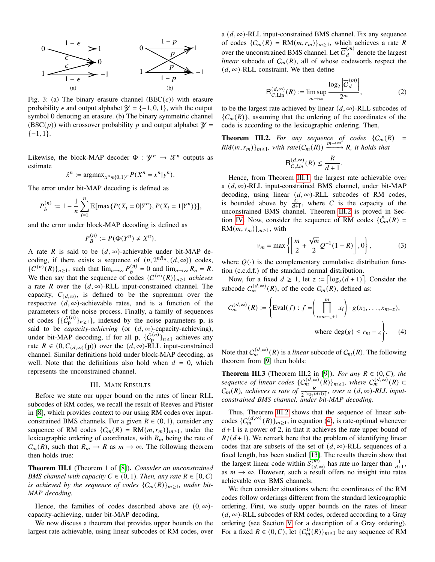<span id="page-2-1"></span>

Fig. 3: (a) The binary erasure channel (BEC( $\epsilon$ )) with erasure probability  $\epsilon$  and output alphabet  $\mathcal{Y} = \{-1, 0, 1\}$ , with the output symbol 0 denoting an erasure. (b) The binary symmetric channel  $(BSC(p))$  with crossover probability p and output alphabet  $\mathcal{Y} =$  $\{-1, 1\}.$ 

Likewise, the block-MAP decoder  $\Phi : \mathcal{Y}^n \to \mathcal{X}^n$  outputs as estimate

$$
\hat{x}^n := \text{argmax}_{x^n \in \{0,1\}^n} P(X^n = x^n | y^n).
$$

The error under bit-MAP decoding is defined as

$$
P_b^{(n)} := 1 - \frac{1}{n} \sum_{i=1}^n \mathbb{E}[\max\{P(X_i = 0 | Y^n), P(X_i = 1 | Y^n)\}],
$$

and the error under block-MAP decoding is defined as

$$
P_B^{(n)} := P(\Phi(Y^n) \neq X^n).
$$

A rate R is said to be  $(d, \infty)$ -achievable under bit-MAP decoding, if there exists a sequence of  $(n, 2^{nR_n}, (d, \infty))$  codes,  ${C^{(n)}(R)}_{n \ge 1}$ , such that  $\lim_{n \to \infty} P_b^{(n)} = 0$  and  $\lim_{n \to \infty} R_n = R$ . We then say that the sequence of codes  $\{C^{(n)}(R)\}_{n\geq 1}$  *achieves* a rate R over the  $(d, \infty)$ -RLL input-constrained channel. The capacity,  $C_{(d,\infty)}$ , is defined to be the supremum over the respective  $(d, \infty)$ -achievable rates, and is a function of the parameters of the noise process. Finally, a family of sequences of codes  $\{\{\hat{C}_{\mathbf{p}}^{(n)}\}_{{n \geq 1}}\}$ , indexed by the noise parameters **p**, is said to be *capacity-achieving* (or  $(d, \infty)$ -capacity-achieving), under bit-MAP decoding, if for all **p**,  $\{ \hat{C}_{p}^{(n)} \}_{n \geq 1}$  achieves any rate  $R \in (0, C_{(d,\infty)}(\mathbf{p}))$  over the  $(d,\infty)$ -RLL input-constrained channel. Similar definitions hold under block-MAP decoding, as well. Note that the definitions also hold when  $d = 0$ , which represents the unconstrained channel.

# III. MAIN RESULTS

<span id="page-2-0"></span>Before we state our upper bound on the rates of linear RLL subcodes of RM codes, we recall the result of Reeves and Pfister in [\[8\]](#page-9-4), which provides context to our using RM codes over inputconstrained BMS channels. For a given  $R \in (0, 1)$ , consider any sequence of RM codes  $\{C_m(R) = RM(m, r_m)\}_{m \geq 1}$ , under the lexicographic ordering of coordinates, with  $R_m$  being the rate of  $C_m(R)$ , such that  $R_m \to R$  as  $m \to \infty$ . The following theorem then holds true:

<span id="page-2-3"></span>Theorem III.1 (Theorem 1 of [\[8\]](#page-9-4)). *Consider an unconstrained BMS channel with capacity*  $C \in (0, 1)$ *. Then, any rate*  $R \in [0, C)$ *is achieved by the sequence of codes*  ${C_m(R)}_{m>1}$ , *under bit-MAP decoding.*

Hence, the families of codes described above are  $(0, \infty)$ capacity-achieving, under bit-MAP decoding.

We now discuss a theorem that provides upper bounds on the largest rate achievable, using linear subcodes of RM codes, over a  $(d, \infty)$ -RLL input-constrained BMS channel. Fix any sequence of codes  $\{C_m(R) = RM(m, r_m)\}_{m \geq 1}$ , which achieves a rate R over the unconstrained BMS channel. Let  $\overline{C}_d^{(m)}$  denote the largest *linear* subcode of  $C_m(R)$ , all of whose codewords respect the  $(d, \infty)$ -RLL constraint. We then define

$$
\mathsf{R}_{C,\text{Lin}}^{(d,\infty)}(R) := \limsup_{m \to \infty} \frac{\log_2 |\overline{C}_d^{(m)}|}{2^m},\tag{2}
$$

<span id="page-2-2"></span>to be the largest rate achieved by linear  $(d, \infty)$ -RLL subcodes of  ${C_m(R)}$ , assuming that the ordering of the coordinates of the code is according to the lexicographic ordering. Then,

<span id="page-2-4"></span>**Theorem III.2.** For any sequence of codes  $\{C_m(R) =$  $RM(m, r_m)$ <sub>*m*≥1</sub>*, with rate*(C<sub>m</sub>(R))  $\xrightarrow{m\rightarrow\infty} R$ *, it holds that* 

$$
\mathsf{R}^{(d,\infty)}_{C,Lin}(R) \leq \frac{R}{d+1}.
$$

Hence, from Theorem [III.1,](#page-2-3) the largest rate achievable over a  $(d, \infty)$ -RLL input-constrained BMS channel, under bit-MAP decoding, using linear  $(d, \infty)$ -RLL subcodes of RM codes, is bounded above by  $\frac{C}{d+1}$ , where C is the capacity of the unconstrained BMS channel. Theorem [III.2](#page-2-4) is proved in Sec-tion [IV.](#page-3-0) Now, consider the sequence of RM codes  $\{\hat{C}_m(R) =$  $RM(m, v_m)\}_{m\geq 1}$ , with

<span id="page-2-5"></span>
$$
v_m = \max \left\{ \left[ \frac{m}{2} + \frac{\sqrt{m}}{2} Q^{-1} (1 - R) \right], 0 \right\},
$$
 (3)

where  $Q(\cdot)$  is the complementary cumulative distribution function (c.c.d.f.) of the standard normal distribution.

Now, for a fixed  $d \ge 1$ , let  $z := \lceil \log_2((d+1)) \rceil$ . Consider the subcode  $C_m^{(d,\infty)}(R)$ , of the code  $C_m(R)$ , defined as:

$$
C_m^{(d,\infty)}(R) := \left\{ \text{Eval}(f) : f = \left( \prod_{i=m-z+1}^m x_i \right) \cdot g(x_1, \dots, x_{m-z}), \right\}
$$
  
where  $\deg(g) \le r_m - z \right\}$ . (4)

Note that  $C_m^{(d,\infty)}(R)$  is a *linear* subcode of  $C_m(R)$ . The following theorem from [\[9\]](#page-9-5) then holds:

<span id="page-2-6"></span>**Theorem III.3** (Theorem III.2 in [\[9\]](#page-9-5)). *For any*  $R \in (0, C)$ , the *sequence of linear codes*  ${C_m^{(d, \infty)}(R)}_{m \geq 1}$ , where  $C_m^{(d, \infty)}(R)$   $\subset$  $C_m(R)$ , achieves a rate of  $\frac{R}{2^{\lceil \log_2((d+1)) \rceil}}$ , over a  $(d, \infty)$ -RLL input*constrained BMS channel, under bit-MAP decoding.*

Thus, Theorem [III.2](#page-2-4) shows that the sequence of linear subcodes  $\{C_m^{(d, \infty)}(R)\}_{m \ge 1}$ , in equation [\(4\)](#page-2-5), is rate-optimal whenever  $d+1$  is a power of 2, in that it achieves the rate upper bound of  $R/(d+1)$ . We remark here that the problem of identifying linear codes that are subsets of the set of  $(d, \infty)$ -RLL sequences of a fixed length, has been studied [\[13\]](#page-9-10). The results therein show that the largest linear code within  $S_{(d,\infty)}^{(m)}$  has rate no larger than  $\frac{1}{d+1}$ , as  $m \to \infty$ . However, such a result offers no insight into rates achievable over BMS channels.

We then consider situations where the coordinates of the RM codes follow orderings different from the standard lexicographic ordering. First, we study upper bounds on the rates of linear  $(d, \infty)$ -RLL subcodes of RM codes, ordered according to a Gray ordering (see Section [V](#page-5-0) for a description of a Gray ordering). For a fixed  $R \in (0, C)$ , let  $\{C_m^G(R)\}_{m \ge 1}$  be any sequence of RM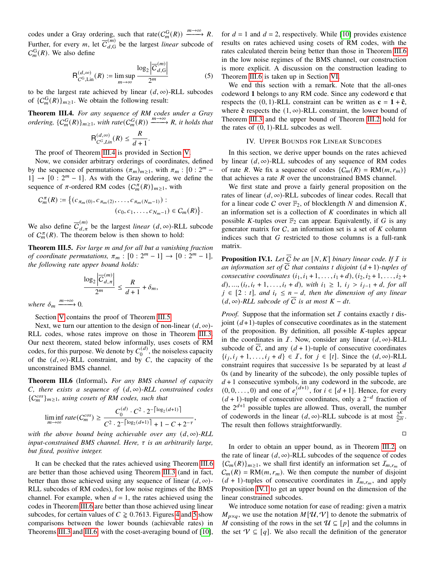codes under a Gray ordering, such that rate $(C_m^G(R)) \xrightarrow{m \to \infty} R$ . Further, for every *m*, let  $\overline{C}_{d,G}^{(m)}$  be the largest *linear* subcode of  $C_m^{\text{G}}(R)$ . We also define

<span id="page-3-5"></span>
$$
\mathsf{R}_{C^{\mathsf{G}},\mathsf{Lin}}^{(d,\infty)}(R) := \limsup_{m \to \infty} \frac{\log_2 |\overline{C}_{d,\mathsf{G}}^{(m)}|}{2^m} \tag{5}
$$

.

to be the largest rate achieved by linear  $(d, \infty)$ -RLL subcodes of  $\{C_m^G(R)\}_{m\geq 1}$ . We obtain the following result:

<span id="page-3-1"></span>Theorem III.4. *For any sequence of RM codes under a Gray ordering,*  $\{C_m^G(R)\}_{m\geq 1}$ *, with rate* $(C_m^G(R)) \xrightarrow{m\to\infty} R$ *, it holds that* 

$$
\mathsf{R}^{(d,\infty)}_{C^G,Lin}(R) \leq \frac{R}{d+1}
$$

The proof of Theorem [III.4](#page-3-1) is provided in Section [V.](#page-5-0)

Now, we consider arbitrary orderings of coordinates, defined by the sequence of permutations  $(\pi_m)_{m \geq 1}$ , with  $\pi_m : [0 : 2^m 1] \rightarrow [0:2<sup>m</sup> - 1]$ . As with the Gray ordering, we define the sequence of  $\pi$ -ordered RM codes  $\{C_m^{\pi}(R)\}_{m\geq 1}$ , with

$$
C_m^{\pi}(R) := \left\{ (c_{\pi_m(0)}, c_{\pi_m(2)}, \dots, c_{\pi_m(N_m-1)}):
$$
  

$$
(c_0, c_1, \dots, c_{N_m-1}) \in C_m(R) \right\}.
$$

We also define  $\overline{C}_{d,\pi}^{(m)}$  be the largest *linear*  $(d, \infty)$ -RLL subcode of  $C_m^{\pi}(R)$ . The theorem below is then shown to hold:

<span id="page-3-2"></span>Theorem III.5. *For large and for all but a vanishing fraction of coordinate permutations,*  $\pi_m : [0 : 2^m - 1] \to [0 : 2^m - 1]$ *, the following rate upper bound holds:*

$$
\frac{\log_2 \left| \overline{C}_{d,\pi}^{(m)} \right|}{2^m} \le \frac{R}{d+1} + \delta_m,
$$

*where*  $\delta_m \xrightarrow{m \to \infty} 0$ .

Section [V](#page-5-0) contains the proof of Theorem [III.5.](#page-3-2)

Next, we turn our attention to the design of non-linear  $(d, \infty)$ -RLL codes, whose rates improve on those in Theorem [III.3.](#page-2-6) Our next theorem, stated below informally, uses cosets of RM codes, for this purpose. We denote by  $C_0^{(d)}$  $\binom{a}{0}$ , the noiseless capacity of the  $(d, \infty)$ -RLL constraint, and by C, the capacity of the unconstrained BMS channel.

<span id="page-3-3"></span>Theorem III.6 (Informal). *For any BMS channel of capacity C*, there exists a sequence of  $(d, \infty)$ -RLL constrained codes  ${C}^{cos}_{m}$ <sub> $m\geq1$ </sub>, using cosets of RM codes, such that

$$
\liminf_{m \to \infty} rate(C_m^{cos}) \ge \frac{C_0^{(d)} \cdot C^2 \cdot 2^{-\left\lceil \log_2(d+1) \right\rceil}}{C^2 \cdot 2^{-\left\lceil \log_2(d+1) \right\rceil} + 1 - C + 2^{-\tau}},
$$

*with the above bound being achievable over any*  $(d, \infty)$ *-RLL input-constrained BMS channel. Here, is an arbitrarily large, but fixed, positive integer.*

It can be checked that the rates achieved using Theorem [III.6](#page-3-3) are better than those achieved using Theorem [III.3](#page-2-6) (and in fact, better than those achieved using any sequence of linear  $(d, \infty)$ -RLL subcodes of RM codes), for low noise regimes of the BMS channel. For example, when  $d = 1$ , the rates achieved using the codes in Theorem [III.6](#page-3-3) are better than those achieved using linear subcodes, for certain values of  $C \ge 0.7613$ . Figures [4](#page-4-0) and [5](#page-5-1) show comparisons between the lower bounds (achievable rates) in Theorems [III.3](#page-2-6) and [III.6,](#page-3-3) with the coset-averaging bound of [\[10\]](#page-9-6), for  $d = 1$  and  $d = 2$ , respectively. While [\[10\]](#page-9-6) provides existence results on rates achieved using cosets of RM codes, with the rates calculated therein being better than those in Theorem [III.6](#page-3-3) in the low noise regimes of the BMS channel, our construction is more explicit. A discussion on the construction leading to Theorem [III.6](#page-3-3) is taken up in Section [VI.](#page-7-0)

We end this section with a remark. Note that the all-ones codeword **1** belongs to any RM code. Since any codeword **c** that respects the  $(0, 1)$ -RLL constraint can be written as  $\mathbf{c} = \mathbf{1} + \hat{\mathbf{c}}$ , where  $\hat{\mathbf{c}}$  respects the  $(1, \infty)$ -RLL constraint, the lower bound of Theorem [III.3](#page-2-6) and the upper bound of Theorem [III.2](#page-2-4) hold for the rates of  $(0, 1)$ -RLL subcodes as well.

#### IV. UPPER BOUNDS FOR LINEAR SUBCODES

<span id="page-3-0"></span>In this section, we derive upper bounds on the rates achieved by linear  $(d, \infty)$ -RLL subcodes of any sequence of RM codes of rate R. We fix a sequence of codes  $\{C_m(R) = RM(m, r_m)\}\$ that achieves a rate  $R$  over the unconstrained BMS channel.

We first state and prove a fairly general proposition on the rates of linear  $(d, \infty)$ -RLL subcodes of linear codes. Recall that for a linear code C over  $\mathbb{F}_2$ , of blocklength N and dimension K, an information set is a collection of  $K$  coordinates in which all possible K-tuples over  $\mathbb{F}_2$  can appear. Equivalently, if G is any generator matrix for  $C$ , an information set is a set of  $K$  column indices such that  $G$  restricted to those columns is a full-rank matrix.

<span id="page-3-4"></span>**Proposition IV.1.** Let  $\overline{C}$  be an  $[N, K]$  binary linear code. If  $I$  is *an information set of*  $\overline{C}$  *that contains t disjoint*  $(d+1)$ *-tuples of consecutive coordinates*  $(i_1, i_1 + 1, \ldots, i_1 + d)$ ,  $(i_2, i_2 + 1, \ldots, i_2 + d)$  $d$ , ...,  $(i_t, i_t + 1, \ldots, i_t + d)$ , with  $i_1 \geq 1$ ,  $i_j > i_{j-1} + d$ , for all  $j \in [2 : t]$ , and  $i_t \leq n - d$ , then the dimension of any linear  $(d, \infty)$ -RLL subcode of  $\overline{C}$  *is at most*  $K - dt$ .

*Proof.* Suppose that the information set  $I$  contains exactly  $t$  disjoint  $(d+1)$ -tuples of consecutive coordinates as in the statement of the proposition. By definition, all possible  $K$ -tuples appear in the coordinates in  $I$ . Now, consider any linear  $(d, \infty)$ -RLL subcode of  $\overline{C}$ , and any  $(d + 1)$ -tuple of consecutive coordinates  $\{i_j, i_j + 1, \ldots, i_j + d\} \in \mathcal{I}$ , for  $j \in [t]$ . Since the  $(d, \infty)$ -RLL constraint requires that successive 1s be separated by at least d 0s (and by linearity of the subcode), the only possible tuples of  $d+1$  consecutive symbols, in any codeword in the subcode, are  $(0, 0, \ldots, 0)$  and one of  $e_i^{(d+1)}$ , for  $i \in [d+1]$ . Hence, for every  $(d+1)$ -tuple of consecutive coordinates, only a 2<sup>-d</sup> fraction of the  $2^{d+1}$  possible tuples are allowed. Thus, overall, the number of codewords in the linear  $(d, \infty)$ -RLL subcode is at most  $\frac{2^K}{2dt}$  $\frac{2^{n}}{2^{dt}}$ . The result then follows straightforwardly.

 $\Box$ 

In order to obtain an upper bound, as in Theorem [III.2,](#page-2-4) on the rate of linear  $(d, \infty)$ -RLL subcodes of the sequence of codes  ${C_m(R)}_{m \geq 1}$ , we shall first identify an information set  $I_{m,r_m}$  of  $C_m(R) = RM(m, r_m)$ . We then compute the number of disjoint  $(d + 1)$ -tuples of consecutive coordinates in  $I_{m,r_m}$ , and apply Proposition [IV.1](#page-3-4) to get an upper bound on the dimension of the linear constrained subcodes.

We introduce some notation for ease of reading: given a matrix  $M_{p\times q}$ , we use the notation  $M[\mathcal{U}, \mathcal{V}]$  to denote the submatrix of M consisting of the rows in the set  $\mathcal{U} \subseteq [p]$  and the columns in the set  $\mathcal{V} \subseteq [q]$ . We also recall the definition of the generator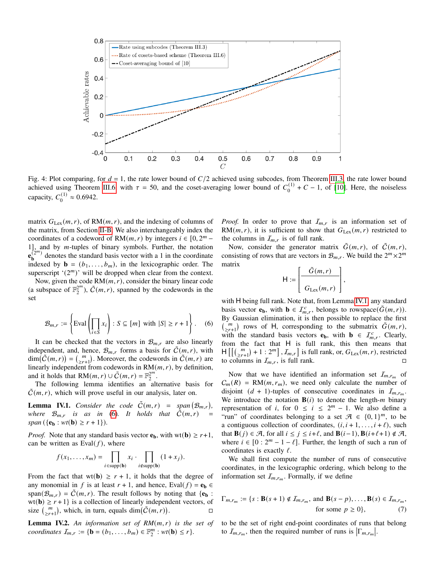<span id="page-4-0"></span>

Fig. 4: Plot comparing, for  $d = 1$ , the rate lower bound of  $C/2$  achieved using subcodes, from Theorem [III.3,](#page-2-6) the rate lower bound achieved using Theorem [III.6,](#page-3-3) with  $\tau = 50$ , and the coset-averaging lower bound of  $C_0^{(1)}$  $_{0}^{(1)}$  + C – 1, of [\[10\]](#page-9-6). Here, the noiseless capacity,  $C_0^{(1)}$  $v_0^{(1)} \approx 0.6942.$ 

matrix  $G_{\text{Lex}}(m, r)$ , of RM $(m, r)$ , and the indexing of columns of the matrix, from Section [II-B.](#page-1-1) We also interchangeably index the coordinates of a codeword of RM $(m, r)$  by integers  $i \in [0, 2^m -$ 1], and by  $m$ -tuples of binary symbols. Further, the notation  $e_{\mathbf{h}}^{(2^m)}$  $\mathbf{b}^{(2^n)}$  denotes the standard basis vector with a 1 in the coordinate indexed by  $\mathbf{b} = (b_1, \ldots, b_m)$ , in the lexicographic order. The superscript  $'(2^m)$  will be dropped when clear from the context.

Now, given the code  $RM(m, r)$ , consider the binary linear code (a subspace of  $\mathbb{F}_2^{2^m}$  $2^m$ ),  $\tilde{C}(m,r)$ , spanned by the codewords in the set

<span id="page-4-1"></span>
$$
\mathcal{B}_{m,r} := \left\{ \text{Eval}\left(\prod_{i \in S} x_i\right) : S \subseteq [m] \text{ with } |S| \ge r+1 \right\}. \quad (6)
$$

It can be checked that the vectors in  $\mathcal{B}_{m,r}$  are also linearly independent, and, hence,  $\mathcal{B}_{m,r}$  forms a basis for  $\mathcal{C}(m,r)$ , with  $\dim(\tilde{C}(m,r)) = {m \choose 2r+1}$ . Moreover, the codewords in  $\tilde{C}(m,r)$  are linearly independent from codewords in  $RM(m, r)$ , by definition, and it holds that RM $(m, r) \cup \tilde{C}(m, r) = \mathbb{F}_2^{2^m}$  $\frac{2^m}{2}$ .

The following lemma identifies an alternative basis for  $C(m, r)$ , which will prove useful in our analysis, later on.

<span id="page-4-2"></span>**Lemma IV.1.** *Consider the code*  $\tilde{C}(m,r)$  =  $\mathcal{B}_{m,r}$ ), *where*  $\mathcal{B}_{m,r}$  *is as in* [\(6\)](#page-4-1). It holds that  $\tilde{C}(m,r)$  $span({\bf{e_b}: wt(b) \ge r+1}).$ 

*Proof.* Note that any standard basis vector  $e_b$ , with wt( $b$ )  $\ge r+1$ , can be written as  $Eval(f)$ , where

$$
f(x_1,\ldots,x_m)=\prod_{i\in \text{supp}(\mathbf{b})}x_i\cdot\prod_{i\notin \text{supp}(\mathbf{b})}(1+x_j).
$$

From the fact that  $wt(b) \ge r + 1$ , it holds that the degree of any monomial in f is at least  $r + 1$ , and hence, Eval( $f$ ) =  $e_b$  $span(\mathcal{B}_{m,r}) = \tilde{C}(m, r)$ . The result follows by noting that  $\{e_b\}$ :  $wt(b) \ge r+1$  is a collection of linearly independent vectors, of size  $\binom{m}{2r+1}$ , which, in turn, equals  $\dim(\widetilde{C}(m,r))$ . — П

<span id="page-4-3"></span>**Lemma IV.2.** An information set of  $RM(m, r)$  is the set of *coordinates*  $I_{m,r} := {\mathbf{b} = (b_1, \ldots, b_m) \in \mathbb{F}_2^m}$  $_{2}^{m}: wt(**b**) \leq r$  }.

*Proof.* In order to prove that  $I_{m,r}$  is an information set of RM( $(m, r)$ , it is sufficient to show that  $G_{\text{Lex}}(m, r)$  restricted to the columns in  $I_{m,r}$  is of full rank.

Now, consider the generator matrix  $\tilde{G}(m, r)$ , of  $\tilde{C}(m, r)$ , consisting of rows that are vectors in  $\mathcal{B}_{m,r}$ . We build the  $2^m \times 2^m$ matrix

$$
H := \left[\frac{\tilde{G}(m,r)}{G_{\text{Lex}}(m,r)}\right],
$$

with H being full rank. Note that, from Lemma [IV.1,](#page-4-2) any standard basis vector  $\mathbf{e}_b$ , with  $\mathbf{b} \in \mathcal{I}_{m,r}^c$ , belongs to rowspace( $\tilde{G}(m,r)$ ). By Gaussian elimination, it is then possible to replace the first  $\begin{pmatrix} m \\ 2r+1 \end{pmatrix}$  rows of H, corresponding to the submatrix  $\tilde{G}(m,r)$ , with the standard basis vectors **e**<sub>**b**</sub>, with **b**  $\in \mathcal{I}_{m,r}^c$ . Clearly, from the fact that H is full rank, this then means that  $H\left[\left[\binom{m}{2r+1}+1:2^m\right], \mathcal{I}_{m,r}\right]$  is full rank, or,  $G_{\text{Lex}}(m,r)$ , restricted to columns in  $I_{m,r}$ , is full rank.

Now that we have identified an information set  $I_{m,r_m}$  of  $C_m(R) = RM(m, r_m)$ , we need only calculate the number of disjoint  $(d + 1)$ -tuples of consecutive coordinates in  $I_{m,r_m}$ . We introduce the notation  $B(i)$  to denote the length-*m* binary representation of *i*, for  $0 \le i \le 2^m - 1$ . We also define a "run" of coordinates belonging to a set  $\mathcal{A} \in \{0, 1\}^m$ , to be a contiguous collection of coordinates,  $(i, i + 1, \ldots, i + \ell)$ , such that **B**( $j$ )  $\in \mathcal{A}$ , for all  $i \leq j \leq i+\ell$ , and **B**( $i-1$ ), **B**( $i+\ell+1$ )  $\notin \mathcal{A}$ , where  $i \in [0: 2^m - 1 - \ell]$ . Further, the length of such a run of coordinates is exactly  $\ell$ .

We shall first compute the number of runs of consecutive coordinates, in the lexicographic ordering, which belong to the information set  $I_{m,r_m}$ . Formally, if we define

<span id="page-4-4"></span>
$$
\Gamma_{m,r_m} := \{ s : \mathbf{B}(s+1) \notin \mathcal{I}_{m,r_m}, \text{ and } \mathbf{B}(s-p), \dots, \mathbf{B}(s) \in \mathcal{I}_{m,r_m},
$$
  
for some  $p \ge 0 \},\tag{7}$ 

to be the set of right end-point coordinates of runs that belong to  $\mathcal{I}_{m,r_m}$ , then the required number of runs is  $|\Gamma_{m,r_m}|$ .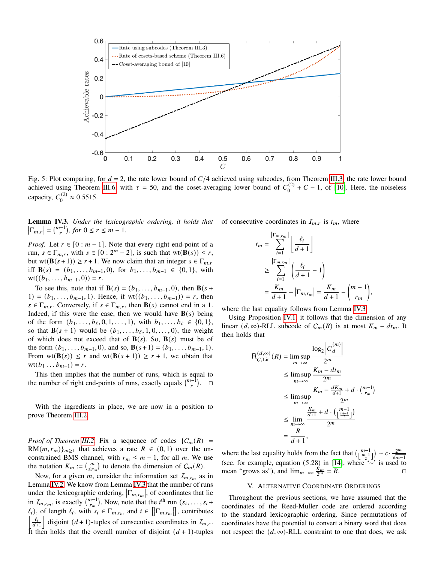<span id="page-5-1"></span>

Fig. 5: Plot comparing, for  $d = 2$ , the rate lower bound of  $C/4$  achieved using subcodes, from Theorem [III.3,](#page-2-6) the rate lower bound achieved using Theorem [III.6,](#page-3-3) with  $\tau = 50$ , and the coset-averaging lower bound of  $C_0^{(2)}$  $_{0}^{(2)}$  + C – 1, of [\[10\]](#page-9-6). Here, the noiseless capacity,  $C_0^{(2)}$  $v_0^{(2)} \approx 0.5515.$ 

<span id="page-5-2"></span>**Lemma IV.3.** Under the lexicographic ordering, it holds that of consecutive coordinates in  $I_{m,r}$  is  $t_m$ , where  $\left|\Gamma_{m,r}\right| = \binom{m-1}{r}, \text{ for } 0 \leq r \leq m-1.$ 

*Proof.* Let  $r \in [0 : m - 1]$ . Note that every right end-point of a run,  $s \in \Gamma_{m,r}$ , with  $s \in [0:2^m-2]$ , is such that wt $(\mathbf{B}(s)) \leq r$ , but wt(**B**( $s + 1$ ))  $\geq r + 1$ . We now claim that an integer  $s \in \Gamma_{m,r}$ iff  $\mathbf{B}(s) = (b_1, \ldots, b_{m-1}, 0)$ , for  $b_1, \ldots, b_{m-1} \in \{0, 1\}$ , with  $wt((b_1, \ldots, b_{m-1}, 0)) = r.$ 

To see this, note that if **B**(s) =  $(b_1, \ldots, b_{m-1}, 0)$ , then **B**(s + 1) =  $(b_1, \ldots, b_{m-1}, 1)$ . Hence, if wt $((b_1, \ldots, b_{m-1})) = r$ , then  $s \in \Gamma_{m,r}$ . Conversely, if  $s \in \Gamma_{m,r}$ , then  $\mathbf{B}(s)$  cannot end in a 1. Indeed, if this were the case, then we would have  $\mathbf{B}(s)$  being of the form  $(b_1, \ldots, b_\ell, 0, 1, \ldots, 1)$ , with  $b_1, \ldots, b_\ell \in \{0, 1\}$ , so that  $\mathbf{B}(s + 1)$  would be  $(b_1, \ldots, b_{\ell}, 1, 0, \ldots, 0)$ , the weight of which does not exceed that of  $\mathbf{B}(s)$ . So,  $\mathbf{B}(s)$  must be of the form  $(b_1, \ldots, b_{m-1}, 0)$ , and so,  $\mathbf{B}(s+1) = (b_1, \ldots, b_{m-1}, 1)$ . From  $wt(\mathbf{B}(s)) \leq r$  and  $wt(\mathbf{B}(s+1)) \geq r+1$ , we obtain that  $wt(b_1 ... b_{m-1}) = r.$ 

This then implies that the number of runs, which is equal to the number of right end-points of runs, exactly equals  $\binom{m-1}{r}$ .  $\Box$ 

With the ingredients in place, we are now in a position to prove Theorem [III.2.](#page-2-4)

*Proof of Theorem [III.2.](#page-2-4)* Fix a sequence of codes  $\{C_m(R) =$  $RM(m, r_m)\}_{m>1}$  that achieves a rate  $R \in (0, 1)$  over the unconstrained BMS channel, with  $r_m \leq m - 1$ , for all m. We use the notation  $K_m := \binom{m}{\leq r_m}$  to denote the dimension of  $C_m(R)$ .

Now, for a given m, consider the information set  $I_{m,r_m}$  as in Lemma [IV.2.](#page-4-3) We know from Lemma [IV.3](#page-5-2) that the number of runs under the lexicographic ordering,  $|\Gamma_{m,r_m}|$ , of coordinates that lie in  $I_{m,r_m}$ , is exactly  $\binom{m-1}{r_m}$ . Now, note that the *i*<sup>th</sup> run  $(s_i, \ldots, s_i +$  $\ell_i$ ), of length  $\ell_i$ , with  $s_i \in \Gamma_{m,r_m}$  and  $i \in [[\Gamma_{m,r_m}]]$ , contributes  $\left| \frac{\ell_i}{d+1} \right|$  disjoint  $(d+1)$ -tuples of consecutive coordinates in  $\mathcal{I}_{m,r}$ . It then holds that the overall number of disjoint  $(d + 1)$ -tuples

$$
t_m = \sum_{i=1}^{\lfloor \Gamma_{m,rm} \rfloor} \left\lfloor \frac{\ell_i}{d+1} \right\rfloor
$$
  
\n
$$
\geq \sum_{i=1}^{\lfloor \Gamma_{m,rm} \rfloor} \left( \frac{\ell_i}{d+1} - 1 \right)
$$
  
\n
$$
= \frac{K_m}{d+1} - \left| \Gamma_{m,rm} \right| = \frac{K_m}{d+1} - \binom{m-1}{r_m}
$$

,

where the last equality follows from Lemma [IV.3.](#page-5-2)

Using Proposition [IV.1,](#page-3-4) it follows that the dimension of any linear  $(d, \infty)$ -RLL subcode of  $C_m(R)$  is at most  $K_m - dt_m$ . It then holds that

$$
R_{C,Lin}^{(d,\infty)}(R) = \limsup_{m \to \infty} \frac{\log_2 |\overline{C}_d^{(m)}|}{2^m}
$$
  
\n
$$
\leq \limsup_{m \to \infty} \frac{K_m - dt_m}{2^m}
$$
  
\n
$$
\leq \limsup_{m \to \infty} \frac{K_m - \frac{dK_m}{d+1} + d \cdot {m-1 \choose r_m}}{2^m}
$$
  
\n
$$
\leq \lim_{m \to \infty} \frac{\frac{K_m}{d+1} + d \cdot \left(\frac{m-1}{2}\right)}{2^m}
$$
  
\n
$$
= \frac{R}{d+1},
$$

where the last equality holds from the fact that  $\left(\lfloor \frac{m-1}{\frac{m-1}{2}}\rfloor\right) \sim c \cdot \frac{2^m}{\sqrt{m-1}}$ (see. for example, equation (5.28) in [\[14\]](#page-9-11), where '∼' is used to mean "grows as"), and  $\lim_{m\to\infty} \frac{\dot{K}_m}{2^m} = R$ .

# V. ALTERNATIVE COORDINATE ORDERINGS

<span id="page-5-0"></span>Throughout the previous sections, we have assumed that the coordinates of the Reed-Muller code are ordered according to the standard lexicographic ordering. Since permutations of coordinates have the potential to convert a binary word that does not respect the  $(d, \infty)$ -RLL constraint to one that does, we ask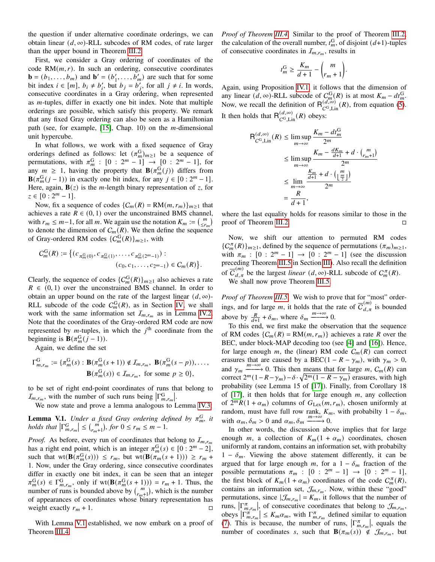the question if under alternative coordinate orderings, we can obtain linear  $(d, \infty)$ -RLL subcodes of RM codes, of rate larger than the upper bound in Theorem [III.2.](#page-2-4)

First, we consider a Gray ordering of coordinates of the code  $RM(m, r)$ . In such an ordering, consecutive coordinates  $\mathbf{b} = (b_1, \dots, b_m)$  and  $\mathbf{b}' = (b'_1, \dots, b'_m)$  are such that for some bit index  $i \in [m]$ ,  $b_i \neq b'_i$ , but  $b_j = b'_i$ , for all  $j \neq i$ . In words, consecutive coordinates in a Gray ordering, when represented as *-tuples, differ in exactly one bit index. Note that multiple* orderings are possible, which satisfy this property. We remark that any fixed Gray ordering can also be seen as a Hamiltonian path (see, for example,  $[15]$ , Chap. 10) on the *m*-dimensional unit hypercube.

In what follows, we work with a fixed sequence of Gray orderings defined as follows: let  $(\pi_m^G)_{m \geq 1}$  be a sequence of permutations, with  $\pi_m^G$  :  $[0:2^m-1] \rightarrow [0:2^m-1]$ , for any  $m \geq 1$ , having the property that  $\mathbf{B}(\pi_m^G(j))$  differs from  $\mathbf{B}(\pi_m^{\text{G}}(j-1))$  in exactly one bit index, for any  $j \in [0:2^m-1]$ . Here, again,  $\mathbf{B}(z)$  is the *m*-length binary representation of z, for  $z \in [0:2^m-1].$ 

Now, fix a sequence of codes  $\{C_m(R) = RM(m, r_m)\}_{m>1}$  that achieves a rate  $R \in (0, 1)$  over the unconstrained BMS channel, with  $r_m \leq m-1$ , for all m. We again use the notation  $K_m := \binom{m}{\leq r_m}$ to denote the dimension of  $C_m(R)$ . We then define the sequence of Gray-ordered RM codes  $\{C_m^G(R)\}_{m\geq 1}$ , with

$$
C_m^{\rm G}(R) := \left\{ (c_{\pi_m^{\rm G}(0)}, c_{\pi_m^{\rm G}(1)}, \ldots, c_{\pi_m^{\rm G}(2^m-1)}) : (c_0, c_1, \ldots, c_{2^m-1}) \in C_m(R) \right\}.
$$

Clearly, the sequence of codes  ${C_m^G(R)}_{m \geq 1}$  also achieves a rate  $R \in (0, 1)$  over the unconstrained BMS channel. In order to obtain an upper bound on the rate of the largest linear  $(d, \infty)$ -RLL subcode of the code  $C_m^G(R)$ , as in Section [IV,](#page-3-0) we shall work with the same information set  $I_{m,r_m}$  as in Lemma [IV.2.](#page-4-3) Note that the coordinates of the Gray-ordered RM code are now represented by *m*-tuples, in which the  $j<sup>th</sup>$  coordinate from the beginning is  $\mathbf{B}(\pi_m^{\text{G}}(j-1)).$ 

Again, we define the set

$$
\Gamma_{m,r_m}^{\mathcal{G}} := \{ \pi_m^{\mathcal{G}}(s) : \mathbf{B}(\pi_m^{\mathcal{G}}(s+1)) \notin \mathcal{I}_{m,r_m}, \ \mathbf{B}(\pi_m^{\mathcal{G}}(s-p)), \dots, \\ \mathbf{B}(\pi_m^{\mathcal{G}}(s)) \in \mathcal{I}_{m,r_m}, \text{ for some } p \ge 0 \},\
$$

to be set of right end-point coordinates of runs that belong to  $\mathcal{I}_{m,r_m}$ , with the number of such runs being  $\left|\Gamma_{m,r_m}^{\text{G}}\right|$ .

We now state and prove a lemma analogous to Lemma [IV.3:](#page-5-2)

<span id="page-6-0"></span>**Lemma V.1.** Under a fixed Gray ordering defined by  $\pi_m^G$ , it *holds that*  $|\Gamma_{m,r_m}^G| \leq {m \choose r_m+1}$ , for  $0 \leq r_m \leq m-1$ .

*Proof.* As before, every run of coordinates that belong to  $I_{m,r_m}$ has a right end point, which is an integer  $\pi_m^G(s) \in [0:2^m-2]$ , such that  $\text{wt}(\mathbf{B}(\pi_m^{\text{G}}(s))) \leq r_m$ , but  $\text{wt}(\mathbf{B}(\pi_m^{\text{G}}(s+1))) \geq r_m +$ 1. Now, under the Gray ordering, since consecutive coordinates differ in exactly one bit index, it can be seen that an integer  $\pi_m^G(s) \in \Gamma^G_{m,r_m}$ , only if wt $(\mathbf{B}(\pi_m^G(s+1))) = r_m + 1$ . Thus, the number of runs is bounded above by  $\binom{m}{r_m+1}$ , which is the number of appearances of coordinates whose binary representation has weight exactly  $r_m + 1$ .

With Lemma [V.1](#page-6-0) established, we now embark on a proof of Theorem [III.4.](#page-3-1)

*Proof of Theorem [III.4.](#page-3-1)* Similar to the proof of Theorem [III.2,](#page-2-4) the calculation of the overall number,  $t_m^G$ , of disjoint  $(d+1)$ -tuples of consecutive coordinates in  $I_{m,r_m}$ , results in

$$
t_m^{\text{G}} \geq \frac{K_m}{d+1} - \binom{m}{r_m+1}.
$$

Again, using Proposition [IV.1,](#page-3-4) it follows that the dimension of any linear  $(d, \infty)$ -RLL subcode of  $C_m^G(R)$  is at most  $K_m - dt_m^G$ . Now, we recall the definition of  $R_{C^G, Lin}^{(d,\infty)}(R)$ , from equation [\(5\)](#page-3-5). It then holds that  $R_{C^G,\text{Lin}}^{(d,\infty)}(R)$  obeys:

$$
R_{C^G, Lin}^{(d,\infty)}(R) \le \limsup_{m \to \infty} \frac{K_m - dt_m^G}{2^m}
$$
  

$$
\le \limsup_{m \to \infty} \frac{K_m - \frac{dK_m}{d+1} + d \cdot {m \choose r_m + 1}}{2^m}
$$
  

$$
\le \lim_{m \to \infty} \frac{\frac{K_m}{d+1} + d \cdot \left(\frac{m}{2}\right)}{2^m}
$$
  

$$
= \frac{R}{d+1},
$$

where the last equality holds for reasons similar to those in the proof of Theorem [III.2.](#page-2-4)

Now, we shift our attention to permuted RM codes  ${C_m^{\pi}(R)}_{m \geq 1}$ , defined by the sequence of permutations  ${(\pi_m)}_{m \geq 1}$ , with  $\pi_m : [0 : 2^m - 1] \rightarrow [0 : 2^m - 1]$  (see the discussion preceding Theorem [III.5](#page-3-2) in Section [III\)](#page-2-0). Also recall the definition of  $\overline{C}_{d,\pi}^{(m)}$  be the largest *linear*  $(d, \infty)$ -RLL subcode of  $C_m^{\pi}(R)$ .

We shall now prove Theorem [III.5.](#page-3-2)

*Proof of Theorem [III.5.](#page-3-2)* We wish to prove that for "most" orderings, and for large *m*, it holds that the rate of  $\overline{C}_{d,\pi}^{(m)}$  is bounded above by  $\frac{R}{d+1} + \delta_m$ , where  $\delta_m \xrightarrow{m \to \infty} 0$ .

To this end, we first make the observation that the sequence of RM codes  $\{C_m(R) = RM(m, r_m)\}\$  achieves a rate R over the BEC, under block-MAP decoding too (see [\[4\]](#page-9-13) and [\[16\]](#page-9-14)). Hence, for large enough m, the (linear) RM code  $C_m(R)$  can correct erasures that are caused by a BEC(1 –  $R - \gamma_m$ ), with  $\gamma_m > 0$ , and  $\gamma_m \xrightarrow{m \to \infty} 0$ . This then means that for large m,  $C_m(R)$  can correct  $2^m(1-R-\gamma_m)-\delta \cdot \sqrt{2^m(1-R-\gamma_m)}$  erasures, with high probability (see Lemma 15 of [\[17\]](#page-9-15)). Finally, from Corollary 18 of  $[17]$ , it then holds that for large enough  $m$ , any collection of  $2^m R(1 + \alpha_m)$  columns of  $G_{\text{Lex}}(m, r_m)$ , chosen uniformly at random, must have full row rank,  $K_m$ , with probabilty  $1 - \delta_m$ , with  $\alpha_m, \delta_m > 0$  and  $\alpha_m, \delta_m \xrightarrow{m \to \infty} 0$ .

In other words, the discussion above implies that for large enough m, a collection of  $K_m(1 + \alpha_m)$  coordinates, chosen uniformly at random, contains an information set, with probabilty  $1 - \delta_m$ . Viewing the above statement differently, it can be argued that for large enough  $m$ , for a  $1 - \delta_m$  fraction of the possible permutations  $\pi_m : [0 : 2^m - 1] \to [0 : 2^m - 1],$ the first block of  $K_m(1 + \alpha_m)$  coordinates of the code  $C_m^{\pi}(R)$ , contains an information set,  $\mathcal{J}_{m,r_m}$ . Now, within these "good" permutations, since  $|\mathcal{J}_{m,r_m}| = K_m$ , it follows that the number of runs,  $\left|\nabla_{m,r_m}^{\pi}\right|$ , of consecutive coordinates that belong to  $\mathcal{J}_{m,r_m}$ , runs,  $\left|\Gamma_{m,r_m}^{\pi}\right|$ , or consecutive coordinates that belong to  $J_{m,r_m}$ ,<br>obeys  $\left|\Gamma_{m,r_m}^{\pi}\right| \le K_m \alpha_m$ , with  $\Gamma_{m,r_m}^{\pi}$  defined similar to equation [\(7\)](#page-4-4). This is because, the number of runs,  $|\Gamma_{m,r_m}^{\pi}|$ , equals the number of coordinates *s*, such that **B** $(\pi_m(s)) \notin \mathcal{J}_{m,r_m}$ , but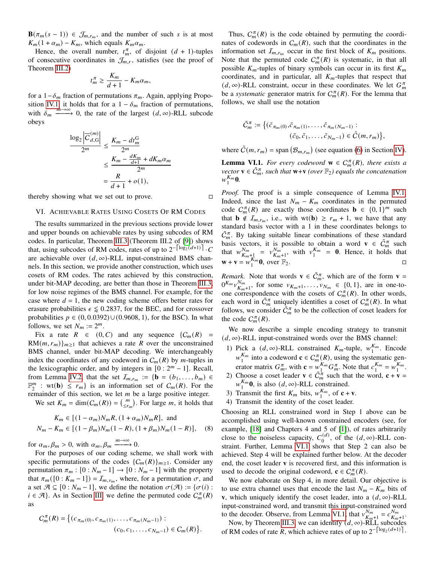**B**( $\pi_m(s-1)$ ) ∈  $\mathcal{J}_{m,r_m}$ , and the number of such *s* is at most  $K_m(1 + \alpha_m) - K_m$ , which equals  $K_m \alpha_m$ .

Hence, the overall number,  $t_m^{\pi}$ , of disjoint  $(d + 1)$ -tuples of consecutive coordinates in  $\mathcal{J}_{m,r}$ , satisfies (see the proof of Theorem [III.2\)](#page-2-4)

$$
t_m^{\pi} \ge \frac{K_m}{d+1} - K_m \alpha_m,
$$

for a  $1-\delta_m$  fraction of permutations  $\pi_m$ . Again, applying Propo-sition [IV.1,](#page-3-4) it holds that for a  $1 - \delta_m$  fraction of permutations, with  $\delta_m \xrightarrow{m \to \infty} 0$ , the rate of the largest  $(d, \infty)$ -RLL subcode obeys

$$
\frac{\log_2 |\overline{C}_{d,G}^{(m)}|}{2^m} \le \frac{K_m - dt_m^G}{2^m}
$$

$$
\le \frac{K_m - \frac{dK_m}{d+1} + dK_m \alpha_m}{2^m}
$$

$$
= \frac{R}{d+1} + o(1),
$$

thereby showing what we set out to prove.

# <span id="page-7-0"></span>VI. ACHIEVABLE RATES USING COSETS OF RM CODES

The results summarized in the previous sections provide lower and upper bounds on achievable rates by using subcodes of RM codes. In particular, Theorem [III.3](#page-2-6) (Theorem III.2 of [\[9\]](#page-9-5)) shows that, using subcodes of RM codes, rates of up to  $2^{-\left\lceil \log_2(d+1) \right\rceil} \cdot C$ are achievable over  $(d, \infty)$ -RLL input-constrained BMS channels. In this section, we provide another construction, which uses cosets of RM codes. The rates achieved by this construction, under bit-MAP decoding, are better than those in Theorem [III.3,](#page-2-6) for low noise regimes of the BMS channel. For example, for the case where  $d = 1$ , the new coding scheme offers better rates for erasure probabilities  $\epsilon \leq 0.2837$ , for the BEC, and for crossover probabilities  $p \in (0, 0.0392) \cup (0.9608, 1)$ , for the BSC). In what follows, we set  $N_m := 2^m$ .

Fix a rate  $R \in (0, C)$  and any sequence  $\{C_m(R) =$  $RM(m, r_m)_{m\geq 1}$  that achieves a rate R over the unconstrained BMS channel, under bit-MAP decoding. We interchangeably index the coordinates of any codeword in  $C_m(R)$  by m-tuples in the lexicographic order, and by integers in  $[0:2<sup>m</sup> - 1]$ . Recall, from Lemma [IV.2,](#page-4-3) that the set  $I_{m,r_m} := \{ \mathbf{b} = (b_1, \ldots, b_m) \in$  $\mathbb{F}_2^m$  $\binom{m}{2}$  : wt(**b**)  $\leq r_m$ } is an information set of  $C_m(R)$ . For the remainder of this section, we let  $m$  be a large positive integer.

We set  $K_m = \dim(C_m(R)) = \binom{m}{\leq r_m}$ . For large m, it holds that

$$
K_m \in [(1 - \alpha_m)N_m R, (1 + \alpha_m)N_m R], \text{ and}
$$
  

$$
N_m - K_m \in [(1 - \beta_m)N_m (1 - R), (1 + \beta_m)N_m (1 - R)],
$$
 (8)

for  $\alpha_m, \beta_m > 0$ , with  $\alpha_m, \beta_m \xrightarrow{m \to \infty} 0$ .

For the purposes of our coding scheme, we shall work with specific permutations of the codes  $\{C_m(R)\}_{m\geq 1}$ . Consider any permutation  $\pi_m : [0 : N_m - 1] \rightarrow [0 : N_m - 1]$  with the property that  $\pi_m([0 : K_m - 1]) = \mathcal{I}_{m, v_m}$ , where, for a permutation  $\sigma$ , and a set  $\mathcal{A} \subseteq [0 : N_m - 1]$ , we define the notation  $\sigma(\mathcal{A}) := \{\sigma(i) :$  $i \in \mathcal{A}$ . As in Section [III,](#page-2-0) we define the permuted code  $C_m^{\pi}(R)$ as

$$
C_m^{\pi}(R) = \left\{ (c_{\pi_m(0)}, c_{\pi_m(1)}, \dots, c_{\pi_m(N_m-1)}):
$$
  

$$
(c_0, c_1, \dots, c_{N_m-1}) \in C_m(R) \right\}.
$$

Thus,  $C_m^{\pi}(R)$  is the code obtained by permuting the coordinates of codewords in  $C_m(R)$ , such that the coordinates in the information set  $I_{m,r_m}$  occur in the first block of  $K_m$  positions. Note that the permuted code  $C_m^{\pi}(R)$  is systematic, in that all possible  $K_m$ -tuples of binary symbols can occur in its first  $K_m$ coordinates, and in particular, all  $K<sub>m</sub>$ -tuples that respect that  $(d, \infty)$ -RLL constraint, occur in these coordinates. We let  $G_m^{\pi}$ be a *systematic* generator matrix for  $C_m^{\pi}(R)$ . For the lemma that follows, we shall use the notation

$$
\tilde{C}_m^{\pi} := \left\{ (\tilde{c}_{\pi_m(0)}, \tilde{c}_{\pi_m(1)}, \dots, \tilde{c}_{\pi_m(N_m-1)} : (\tilde{c}_0, \tilde{c}_1, \dots, \tilde{c}_{N_m-1}) \in \tilde{C}(m, r_m) \right\},\
$$

where  $\tilde{C}(m, r_m) = \text{span}(\mathcal{B}_{m, r_m})$  (see equation [\(6\)](#page-4-1) in Section [IV\)](#page-3-0).

<span id="page-7-1"></span>**Lemma VI.1.** *For every codeword*  $\mathbf{w} \in C_m^{\pi}(R)$ *, there exists a vector*  $\mathbf{v} \in \tilde{C}_m^{\pi}$ , such that  $\mathbf{w}+\mathbf{v}$  *(over*  $\mathbb{F}_2$ *) equals the concatenation*  $W_1^{K_m}$  $\int_{1}^{K_{m}}$ **0**.

*Proof.* The proof is a simple consequence of Lemma [IV.1.](#page-4-2) Indeed, since the last  $N_m - K_m$  coordinates in the permuted code  $C_m^{\pi}(R)$  are exactly those coordinates **b**  $\in \{0, 1\}^m$  such that **b**  $\notin I_{m,r_m}$ , i.e., with wt(**b**)  $\geq r_m + 1$ , we have that any standard basis vector with a 1 in these coordinates belongs to  $\tilde{C}_m^{\pi}$ . By taking suitable linear combinations of these standard basis vectors, it is possible to obtain a word **v**  $\in \tilde{C}_m^{\pi}$  such that  $w_{\kappa}^{N_m}$  $\frac{N_m}{K_m+1}$  =  $v \frac{N_m}{K_m}$  $\frac{N_m}{K_m+1}$ , with  $v_1^{K_m}$  $\frac{K_m}{1}$  = **0**. Hence, it holds that  $\mathbf{w} + \mathbf{v} = w_1^{\mathbf{K}_m}$  $\frac{K_m}{1}$ **0**, over  $\mathbb{F}_2$ .

*Remark*. Note that words  $\mathbf{v} \in \tilde{C}_m^{\pi}$ , which are of the form  $\mathbf{v} =$  $0^{K_m} v_K^{N_m}$  $\frac{N_m}{K_{m+1}}$ , for some  $v_{K_m+1}, \ldots, v_{N_m} \in \{0, 1\}$ , are in one-toone correspondence with the cosets of  $C_m^{\pi}(R)$ . In other words, each word in  $\tilde{C}_m^{\pi}$  uniquely identifies a coset of  $C_m^{\pi}(R)$ . In what follows, we consider  $\tilde{C}_m^{\pi}$  to be the collection of coset leaders for the code  $C_m^{\pi}(R)$ .

We now describe a simple encoding strategy to transmit  $(d, \infty)$ -RLL input-constrained words over the BMS channel:

- 1) Pick a  $(d, \infty)$ -RLL constrained  $K_m$ -tuple,  $w_1^{K_m}$ . Encode  $w_1^{K_m}$  into a codeword  $c \in C_{\infty}^{\pi}(R)$ , using the system  $\frac{K_m}{1}$  into a codeword **c**  $\in C_m^{\pi}(R)$ , using the systematic generator matrix  $G_m^{\pi}$ , with  $\mathbf{c} = w_1^{\hat{K}_m}$  $\sum_{1}^{K_m} G_m^{\pi}$ . Note that  $c_1^{K_m}$  $K_m = w_1^{K_m}$  $\frac{\mathbf{r}_m}{1}$ .
- 2) Choose a coset leader  $\mathbf{v} \in \tilde{C}_m^{\frac{1}{n}}$  such that the word,  $\mathbf{c} + \mathbf{v} =$  $W_1^{K_m}$  $\frac{K_m}{1}$ **0**, is also  $(d, \infty)$ -RLL constrained.
- 3) Transmit the first  $K_m$  bits,  $w_1^{K_m}$  $\frac{K_m}{1}$ , of **c** + **v**.
- 4) Transmit the identity of the coset leader.

<span id="page-7-2"></span>Choosing an RLL constrained word in Step 1 above can be accomplished using well-known constrained encoders (see, for example, [\[18\]](#page-9-16) and Chapters 4 and 5 of [\[1\]](#page-9-0)), of rates arbitrarily close to the noiseless capacity,  $C_0^{(d)}$  $_0^{(d)}$ , of the  $(d, \infty)$ -RLL constraint. Further, Lemma [VI.1](#page-7-1) shows that Step 2 can also be achieved. Step 4 will be explained further below. At the decoder end, the coset leader **v** is recovered first, and this information is used to decode the original codeword,  $\mathbf{c} \in C_m^{\pi}(R)$ .

We now elaborate on Step 4, in more detail. Our objective is to use extra channel uses that encode the last  $N_m - K_m$  bits of **v**, which uniquely identify the coset leader, into a  $(d, \infty)$ -RLL input-constrained word, and transmit this input-constrained word to the decoder. Observe, from Lemma [VI.1,](#page-7-1) that  $v_{\kappa}^{N_m}$  $\frac{N_m}{K_m+1} = c \frac{N_m}{K_m}$  $\frac{N_m}{K_m+1}$ .

Now, by Theorem [III.3,](#page-2-6) we can identify  $(d, \infty)$ -RLL subcodes of RM codes of rate R, which achieve rates of up to  $2^{-\lceil \log_2(d+1) \rceil}$ .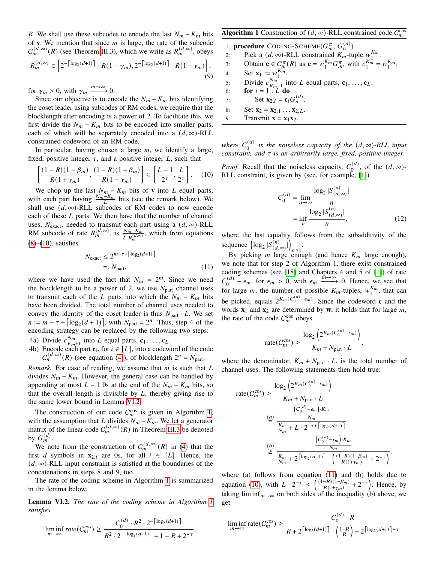R. We shall use these subcodes to encode the last  $N_m - K_m$  bits of  $\bf{v}$ . We mention that since  $m$  is large, the rate of the subcode  $C_m^{(d,\infty)}(R)$  (see Theorem [III.3\)](#page-2-6), which we write as  $R_m^{(d,\infty)}$ , obeys

$$
R_m^{(d,\infty)} \in \left[2^{-\left\lceil \log_2(d+1) \right\rceil} \cdot R(1-\gamma_m), 2^{-\left\lceil \log_2(d+1) \right\rceil} \cdot R(1+\gamma_m) \right], \tag{9}
$$

for  $\gamma_m > 0$ , with  $\gamma_m \xrightarrow{m \to \infty} 0$ .

Since our objective is to encode the  $N_m - K_m$  bits identifying the coset leader using subcodes of RM codes, we require that the blocklength after encoding is a power of 2. To facilitate this, we first divide the  $N_m - K_m$  bits to be encoded into smaller parts, each of which will be separately encoded into a  $(d, \infty)$ -RLL constrained codeword of an RM code.

In particular, having chosen a large  $m$ , we identify a large, fixed, positive integer  $\tau$ , and a positive integer L, such that

$$
\left[\frac{(1-R)(1-\beta_m)}{R(1+\gamma_m)}, \frac{(1-R)(1+\beta_m)}{R(1-\gamma_m)}\right] \subseteq \left[\frac{L-1}{2^{\tau}}, \frac{L}{2^{\tau}}\right].\tag{10}
$$

We chop up the last  $N_m - K_m$  bits of **v** into L equal parts, with each part having  $\frac{N_m - K_m}{L}$  bits (see the remark below). We shall use  $(d, \infty)$ -RLL subcodes of RM codes to now encode each of these  $L$  parts. We then have that the number of channel uses,  $N_{\text{exact}}$ , needed to transmit each part using a  $(d, \infty)$ -RLL RM subcode of rate  $R_m^{(d,\infty)}$ , is  $\frac{N_m - K_m^H}{L \cdot R_m^{(d,\infty)}}$ , which from equations  $(8)$ – $(10)$ , satisfies

$$
N_{\text{exact}} \le 2^{m-\tau + \lceil \log_2(d+1) \rceil}
$$
  
=: N\_{\text{part}}, \t(11)

where we have used the fact that  $N_m = 2^m$ . Since we need the blocklength to be a power of 2, we use  $N_{part}$  channel uses to transmit each of the L parts into which the  $N_m - K_m$  bits have been divided. The total number of channel uses needed to convey the identity of the coset leader is thus  $N_{part} \cdot L$ . We set  $n := m - \tau + \left[ \log_2((d+1)) \right]$ , with  $N_{part} = 2^n$ . Thus, step 4 of the encoding strategy can be replaced by the following two steps: 4a) Divide  $c_{\kappa}^{N_m}$ 

- $_{K_m+1}^{N_m}$  into L equal parts,  $\mathbf{c}_1, \ldots, \mathbf{c}_L$ .
- 4b) Encode each part  $c_i$ , for  $i \in [L]$ , into a codeword of the code  $C_n^{(d,\infty)}(R)$  (see equation [\(4\)](#page-2-5)), of blocklength  $2^n = N_{part}$ .

*Remark.* For ease of reading, we assume that  $m$  is such that  $L$ divides  $N_m - K_m$ . However, the general case can be handled by appending at most  $L - 1$  0s at the end of the  $N_m - K_m$  bits, so that the overall length is divisible by  $L$ , thereby giving rise to the same lower bound in Lemma [VI.2](#page-8-1)

The construction of our code  $C_m^{\cos}$  is given in Algorithm [1,](#page-8-2) with the assumption that L divides  $N_m - K_m$ . We let a generator matrix of the linear code  $C_m^{(d,\infty)}(R)$  in Theorem [III.3](#page-2-6) be denoted by  $G_m^{(d)}$ .

We note from the construction of  $C_m^{(d,\infty)}(R)$  in [\(4\)](#page-2-5) that the first *d* symbols in  $\mathbf{x}_{2,i}$  are 0s, for all  $i \in [L]$ . Hence, the  $(d, \infty)$ -RLL input constraint is satisfied at the boundaries of the concatenations in steps 8 and 9, too.

The rate of the coding scheme in Algorithm [1](#page-8-2) is summarized in the lemma below.

<span id="page-8-1"></span>Lemma VI.2. *The rate of the coding scheme in Algorithm [1](#page-8-2) satisfies*

$$
\liminf_{m \to \infty} rate(C_m^{cos}) \ge \frac{C_0^{(d)} \cdot R^2 \cdot 2^{-\left\lceil \log_2(d+1) \right\rceil}}{R^2 \cdot 2^{-\left\lceil \log_2(d+1) \right\rceil} + 1 - R + 2^{-\tau}},
$$

# <span id="page-8-2"></span>**Algorithm 1** Construction of  $(d, \infty)$ -RLL constrained code  $C_m^{\cos}$

1: **procedure** CODING-SCHEME( $G_m^{\pi}, G_n^{(d)}$ )

- 2: Pick a  $(d, \infty)$ -RLL constrained  $K_m$ -tuple  $w_1^{K_m}$  $\frac{\mathbf{r}_m}{1}$ .
- 3: Obtain  $\mathbf{c} \in C_m^{\pi}(R)$  as  $\mathbf{c} = w_1^{K_m}$  $\int_1^{K_m} G_m^{\pi}$ , with  $c_1^{K_m}$  $K_m^1 = W_1^{K_m}$  $\frac{\kappa_m}{1}$ .
- 4: Set  $\mathbf{x}_1 := w_1^{K_m^m}$  $\frac{\mathbf{r}_m}{1}$ .
- 5: Divide  $c_{\kappa}^{N_m}$  $\frac{N_m}{K_{m+1}}$  into L equal parts,  $\mathbf{c}_1, \ldots, \mathbf{c}_L$ .
- 6: **for**  $i = 1 : L^m$  **do**
- 7: Set  $\mathbf{x}_{2,i} = \mathbf{c}_i G_n^{(d)}$ .
- 8: Set  $\mathbf{x}_2 = \mathbf{x}_{2,1} \dots \mathbf{x}_{2,L}$
- 9: Transmit  $\mathbf{x} = \mathbf{x}_1 \mathbf{x}_2$ .

where  $C_0^{(d)}$  $\binom{d}{0}$  is the noiseless capacity of the  $(d, \infty)$ -RLL input *constraint, and is an arbitrarily large, fixed, positive integer.*

<span id="page-8-0"></span>*Proof.* Recall that the noiseless capacity,  $C_0^{(d)}$  $\binom{d}{0}$ , of the  $(d, \infty)$ -RLL constraint, is given by (see, for example, [\[1\]](#page-9-0))

$$
C_0^{(d)} = \lim_{n \to \infty} \frac{\log_2 |S_{(d,\infty)}^{(n)}|}{n}
$$
  
= 
$$
\inf_{n} \frac{\log_2 |S_{(d,\infty)}^{(n)}|}{n},
$$
 (12)

where the last equality follows from the subadditivity of the sequence  $\left( \log_2 |S_{(d,\infty)}^{(n)}| \right)$  $n \geq 1$ .

<span id="page-8-3"></span>By picking *m* large enough (and hence  $K_m$  large enough), we note that for step 2 of Algorithm 1, there exist constrained coding schemes (see [\[18\]](#page-9-16) and Chapters 4 and 5 of [\[1\]](#page-9-0)) of rate  $C_{\alpha}^{(d)}$  $\epsilon_{00}^{(d)} - \epsilon_m$ , for  $\epsilon_m > 0$ , with  $\epsilon_m \xrightarrow{m \to \infty} 0$ . Hence, we see that for large *m*, the number of possible  $K_m$ -tuples,  $w_1^{K_m}$  $\int_1^{\mathbf{A}m}$ , that can be picked, equals  $2^{K_m (C_0^{(d)} - \epsilon_m)}$ . Since the codeword **c** and the words  $\mathbf{x}_1$  and  $\mathbf{x}_2$  are determined by **w**, it holds that for large *m*, the rate of the code  $C_m^{\cos}$  obeys

$$
\text{rate}(C_m^{\cos}) \ge \frac{\log_2\left(2^{K_m(C_0^{(d)} - \epsilon_m)}\right)}{K_m + N_{\text{part}} \cdot L},
$$

where the denominator,  $K_m + N_{part} \cdot L$ , is the total number of channel uses. The following statements then hold true:

rate
$$
(C_m^{\cos}) \ge \frac{\log_2 (2^{K_m(C_0^{(d)} - \epsilon_m)})}{K_m + N_{part} \cdot L}
$$
  

$$
\stackrel{(a)}{=} \frac{\frac{(C_0^{(d)} - \epsilon_m) \cdot K_m}{N_m}}{\frac{K_m}{N_m} + L \cdot 2^{-\tau + \left[\log_2(d+1)\right]}}
$$

$$
\stackrel{(b)}{\geq} \frac{\frac{(C_0^{(d)} - \epsilon_m) \cdot K_m}{N_m}}{\frac{K_m}{N_m} + 2^{\left[\log_2(d+1)\right] \cdot \left(\frac{(1 - R)(1 - \beta_m)}{R(1 + \gamma_m)} + 2^{-\tau}\right)}},
$$

where (a) follows from equation  $(11)$  and  $(b)$  holds due to equation [\(10\)](#page-8-0), with  $L \cdot 2^{-\tau} \leq \left( \frac{(1-R)(1-\beta_m)}{R(1+\gamma_m)} \right)$  $\frac{-R(1-\beta_m)}{R(1+\gamma_m)}$  +  $2^{-\tau}$ ). Hence, by taking lim inf<sub>m→∞</sub> on both sides of the inequality (b) above, we get

$$
\liminf_{m \to \infty} \text{rate}(C_m^{\cos}) \ge \frac{C_0^{(d)} \cdot R}{R + 2^{\lceil \log_2(d+1) \rceil} \cdot \left(\frac{1-R}{R}\right) + 2^{\lceil \log_2(d+1) \rceil - \tau}}
$$